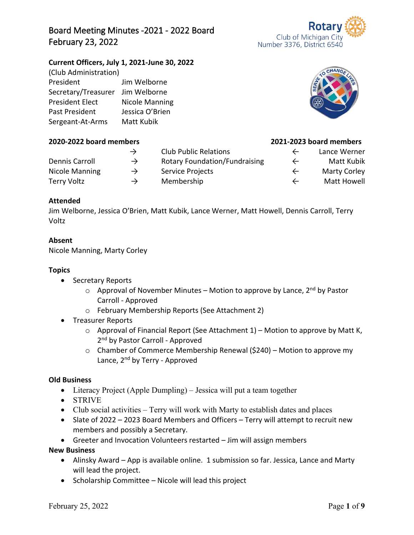# Board Meeting Minutes -2021 - 2022 Board February 23, 2022

### **Current Officers, July 1, 2021-June 30, 2022**

| (Club Administration)  |                       |
|------------------------|-----------------------|
| President              | Jim Welborne          |
| Secretary/Treasurer    | Jim Welborne          |
| <b>President Elect</b> | <b>Nicole Manning</b> |
| Past President         | Jessica O'Brien       |
| Sergeant-At-Arms       | Matt Kubik            |

#### **2020-2022 board members 2021-2023 board members**

# **Attended**

Jim Welborne, Jessica O'Brien, Matt Kubik, Lance Werner, Matt Howell, Dennis Carroll, Terry Voltz

Dennis Carroll → Rotary Foundation/Fundraising ← Matt Kubik Nicole Manning  $\rightarrow$  Service Projects  $\leftarrow$  Marty Corley Terry Voltz → Membership ← Matt Howell

### **Absent**

Nicole Manning, Marty Corley

## **Topics**

- Secretary Reports
	- $\circ$  Approval of November Minutes Motion to approve by Lance, 2<sup>nd</sup> by Pastor Carroll - Approved

→ Club Public Relations ← Lance Werner

- o February Membership Reports (See Attachment 2)
- Treasurer Reports
	- $\circ$  Approval of Financial Report (See Attachment 1) Motion to approve by Matt K, 2<sup>nd</sup> by Pastor Carroll - Approved
	- o Chamber of Commerce Membership Renewal (\$240) Motion to approve my Lance, 2<sup>nd</sup> by Terry - Approved

#### **Old Business**

- Literacy Project (Apple Dumpling) Jessica will put a team together
- STRIVE
- Club social activities Terry will work with Marty to establish dates and places
- Slate of 2022 2023 Board Members and Officers Terry will attempt to recruit new members and possibly a Secretary.
- Greeter and Invocation Volunteers restarted Jim will assign members

**New Business**

- Alinsky Award App is available online. 1 submission so far. Jessica, Lance and Marty will lead the project.
- Scholarship Committee Nicole will lead this project





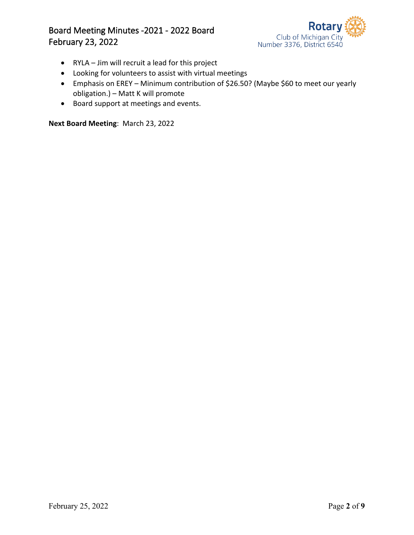## Board Meeting Minutes -2021 - 2022 Board February 23, 2022



- RYLA Jim will recruit a lead for this project
- Looking for volunteers to assist with virtual meetings
- Emphasis on EREY Minimum contribution of \$26.50? (Maybe \$60 to meet our yearly obligation.) – Matt K will promote
- Board support at meetings and events.

**Next Board Meeting**: March 23, 2022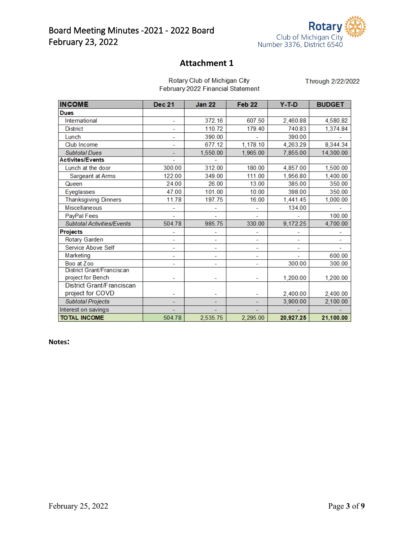

## **Attachment 1**

| Rotary Club of Michigan City      |
|-----------------------------------|
| February 2022 Financial Statement |

Through 2/22/2022

| <b>INCOME</b>                     | <b>Dec 21</b> | <b>Jan 22</b> | Feb <sub>22</sub> | $Y-T-D$   | <b>BUDGET</b> |
|-----------------------------------|---------------|---------------|-------------------|-----------|---------------|
| <b>Dues</b>                       |               |               |                   |           |               |
| International                     | ÷,            | 372.16        | 607.50            | 2,460.88  | 4,580.82      |
| <b>District</b>                   |               | 110.72        | 179.40            | 740.83    | 1,374.84      |
| Lunch                             | ٠             | 390.00        |                   | 390.00    |               |
| Club Income                       |               | 677.12        | 1,178.10          | 4,263.29  | 8,344.34      |
| <b>Subtotal Dues</b>              |               | 1,550.00      | 1,965.00          | 7,855.00  | 14,300.00     |
| <b>Activites/Events</b>           |               |               |                   |           |               |
| Lunch at the door                 | 300.00        | 312.00        | 180.00            | 4,857.00  | 1,500.00      |
| Sargeant at Arms                  | 122.00        | 349.00        | 111.00            | 1,956.80  | 1,400.00      |
| Queen                             | 24.00         | 26.00         | 13.00             | 385.00    | 350.00        |
| Eyeglasses                        | 47.00         | 101.00        | 10.00             | 398.00    | 350.00        |
| <b>Thanksgiving Dinners</b>       | 11.78         | 197.75        | 16.00             | 1,441.45  | 1,000.00      |
| Miscellaneous                     |               | ۰             |                   | 134.00    |               |
| PayPal Fees                       |               |               |                   |           | 100.00        |
| <b>Subtotal Activities/Events</b> | 504.78        | 985.75        | 330.00            | 9,172.25  | 4,700.00      |
| <b>Projects</b>                   | ۰             | ۰             | ۰                 |           |               |
| Rotary Garden                     |               | -             |                   |           |               |
| Service Above Self                | L             | ۰             |                   |           |               |
| Marketing                         | ۰             | ۰             | ۰                 |           | 600.00        |
| Boo at Zoo                        |               | ۰             |                   | 300.00    | 300.00        |
| District Grant/Franciscan         |               |               |                   |           |               |
| project for Bench                 |               |               |                   | 1,200.00  | 1,200.00      |
| <b>District Grant/Franciscan</b>  |               |               |                   |           |               |
| project for COVD                  |               |               |                   | 2,400.00  | 2,400.00      |
| <b>Subtotal Projects</b>          |               |               |                   | 3,900.00  | 2,100.00      |
| Interest on savings               |               |               |                   |           |               |
| <b>TOTAL INCOME</b>               | 504.78        | 2.535.75      | 2.295.00          | 20.927.25 | 21,100.00     |

**Notes:**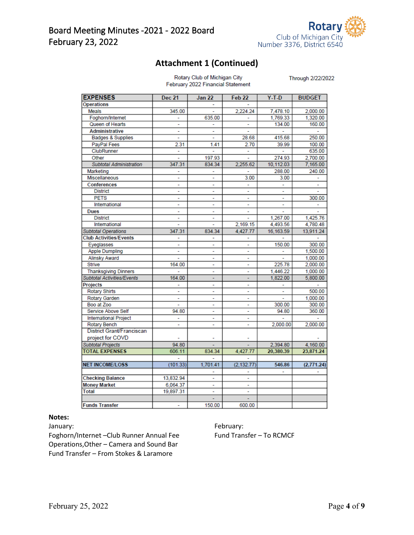

## **Attachment 1 (Continued)**

Rotary Club of Michigan City<br>February 2022 Financial Statement

Through 2/22/2022

| <b>EXPENSES</b>                   | Dec 21         | <b>Jan 22</b> | Feb 22                   | $Y-T-D$   | <b>BUDGET</b> |
|-----------------------------------|----------------|---------------|--------------------------|-----------|---------------|
| <b>Operations</b>                 |                |               |                          |           |               |
| Meals                             | 345.00         |               | 2,224.24                 | 7,478.10  | 2,000.00      |
| Foghorn/Internet                  |                | 635.00        | ٠                        | 1,769.33  | 1,320.00      |
| Queen of Hearts                   | ÷.             | L,            | ÷                        | 134.00    | 160.00        |
| <b>Administrative</b>             |                |               |                          |           | ÷             |
| Badges & Supplies                 |                |               | 28.68                    | 415.68    | 250.00        |
| PayPal Fees                       | 2.31           | 1.41          | 2.70                     | 39.99     | 100.00        |
| ClubRunner                        |                |               |                          |           | 635.00        |
| Other                             |                | 197.93        | ä,                       | 274.93    | 2,700.00      |
| <b>Subtotal Administration</b>    | 347.31         | 834.34        | 2,255.62                 | 10,112.03 | 7,165.00      |
| Marketing                         |                |               |                          | 288.00    | 240.00        |
| Miscellaneous                     | $\overline{a}$ | ÷             | 3.00                     | 3.00      |               |
| Conferences                       |                |               |                          |           |               |
| <b>District</b>                   | ٠              | ۰             | ٠                        | ۰         |               |
| <b>PETS</b>                       |                | ÷             |                          |           | 300.00        |
| International                     | ä,             | ٠             | $\overline{\phantom{a}}$ | ä,        | ä,            |
| <b>Dues</b>                       |                |               | ÷,                       |           |               |
| <b>District</b>                   |                |               |                          | 1,267.00  | 1,425.76      |
| International                     |                |               | 2,169.15                 | 4,493.56  | 4,780.48      |
| <b>Subtotal Operations</b>        | 347.31         | 834.34        | 4,427.77                 | 16,163.59 | 13,911.24     |
| <b>Club Activities/Events</b>     |                |               |                          |           |               |
| Eyeglasses                        |                | ۰             | ۰                        | 150.00    | 300.00        |
| <b>Apple Dumpling</b>             | ÷,             | ۰             | $\tilde{\phantom{a}}$    | ÷,        | 1,500.00      |
| <b>Alinsky Award</b>              |                |               |                          |           | 1,000.00      |
| <b>Strive</b>                     | 164.00         | ۰             | ä,                       | 225.78    | 2,000.00      |
| <b>Thanksgiving Dinners</b>       |                | ÷,            | ٠                        | 1.446.22  | 1.000.00      |
| <b>Subtotal Activities/Events</b> | 164.00         |               |                          | 1,822.00  | 5,800.00      |
| Projects                          |                | ٠             | $\overline{a}$           |           |               |
| <b>Rotary Shirts</b>              |                | ÷             | ٠                        |           | 500.00        |
| Rotary Garden                     |                | ä,            | ä,                       | ä,        | 1.000.00      |
| Boo at Zoo                        |                | L,            |                          | 300.00    | 300.00        |
| Service Above Self                | 94.80          | ٠             |                          | 94.80     | 360.00        |
| <b>International Project</b>      |                | ٠             | ٠                        |           |               |
| <b>Rotary Bench</b>               |                |               |                          | 2.000.00  | 2.000.00      |
| District Grant/Franciscan         |                |               |                          |           |               |
| project for COVD                  |                |               |                          |           |               |
| <b>Subtotal Projects</b>          | 94.80          |               |                          | 2,394.80  | 4,160.00      |
| <b>TOTAL EXPENSES</b>             | 606.11         | 834.34        | 4,427.77                 | 20,380.39 | 23,871.24     |
|                                   |                |               |                          |           |               |
| <b>NET INCOME/LOSS</b>            | (101.33)       | 1,701.41      | (2, 132.77)              | 546.86    | (2,771.24)    |
|                                   |                |               |                          |           |               |
| <b>Checking Balance</b>           | 13,832.94      | ۰             | ÷                        |           |               |
| <b>Money Market</b>               | 6,064.37       |               |                          |           |               |
| <b>Total</b>                      | 19,897.31      |               |                          |           |               |
|                                   |                |               |                          |           |               |
| <b>Funds Transfer</b>             |                | 150.00        | 600.00                   |           |               |

#### **Notes:**

Foghorn/Internet –Club Runner Annual Fee Fund Transfer – To RCMCF Operations,Other – Camera and Sound Bar Fund Transfer – From Stokes & Laramore

January: The Contract of the Contract of the February: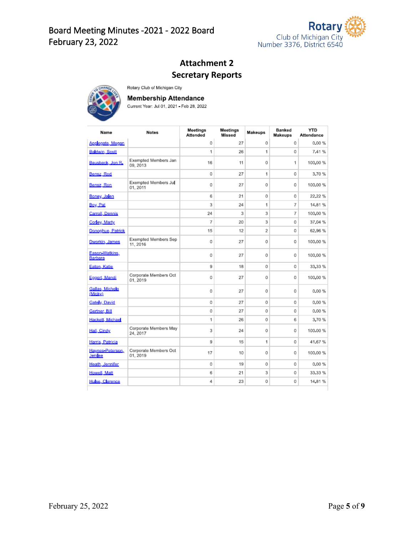

# **Attachment 2 Secretary Reports**



**Membership Attendance** 

Rotary Club of Michigan City

Current Year: Jul 01, 2021 - Feb 28, 2022

| Name                        | <b>Notes</b>                      | Meetings<br><b>Attended</b> | Meetings<br><b>Missed</b> | <b>Makeups</b> | <b>Banked</b><br>Makeups | <b>YTD</b><br><b>Attendance</b> |
|-----------------------------|-----------------------------------|-----------------------------|---------------------------|----------------|--------------------------|---------------------------------|
| Applegate, Megan            |                                   | 0                           | 27                        | 0              | 0                        | 0.00%                           |
| Baldwin, Scott              |                                   | 1                           | 26                        | 1              | 0                        | 7.41%                           |
| Bausback, Jon R.            | Exempted Members Jan<br>09.2013   | 16                          | 11                        | 0              | 1                        | 100,00 %                        |
| Bensz, Rod                  |                                   | 0                           | 27                        | 1              | 0                        | 3.70%                           |
| Bensz, Ron                  | Exempted Members Jul<br>01, 2011  | 0                           | 27                        | 0              | 0                        | 100,00 %                        |
| Boney, Jalen                |                                   | 6                           | 21                        | 0              | 0                        | 22.22%                          |
| Boy, Pat                    |                                   | 3                           | 24                        | 1              | 7                        | 14.81 %                         |
| Carroll, Dennis             |                                   | 24                          | 3                         | 3              | 7                        | 100,00 %                        |
| Corley, Marty               |                                   | 7                           | 20                        | 3              | 0                        | 37.04 %                         |
| Donoghue, Patrick           |                                   | 15                          | 12                        | $\overline{2}$ | 0                        | 62.96 %                         |
| Dworkin, James              | Exempted Members Sep<br>11, 2016  | 0                           | 27                        | 0              | 0                        | 100,00 %                        |
| Eason-Watkins,<br>Barbara   |                                   | 0                           | 27                        | 0              | 0                        | 100,00 %                        |
| Eaton, Katie                |                                   | 9                           | 18                        | 0              | 0                        | 33.33 %                         |
| Eggert, Mandi               | Corporate Members Oct<br>01.2019  | 0                           | 27                        | 0              | 0                        | 100,00 %                        |
| Gallas, Michele<br>(Micky)  |                                   | 0                           | 27                        | 0              | 0                        | 0.00%                           |
| <b>Gately, David</b>        |                                   | 0                           | 27                        | 0              | 0                        | 0.00%                           |
| Gertner, Bill               |                                   | 0                           | 27                        | 0              | 0                        | 0.00%                           |
| Hackett, Michael            |                                   | 1                           | 26                        | 0              | 6                        | 3.70%                           |
| Hall, Cindy                 | Corporate Members May<br>24.2017  | 3                           | 24                        | 0              | 0                        | 100.00 %                        |
| Harris, Patricia            |                                   | 9                           | 15                        | 1              | 0                        | 41.67%                          |
| Haynes-Peterson.<br>Jenilee | Corporate Members Oct<br>01, 2019 | 17                          | 10                        | 0              | 0                        | 100,00 %                        |
| Heath, Jennifer             |                                   | 0                           | 19                        | 0              | 0                        | 0.00%                           |
| Howell, Matt                |                                   | 6                           | 21                        | 3              | 0                        | 33.33 %                         |
| Hulse, Clarence             |                                   | 4                           | 23                        | 0              | 0                        | 14,81 %                         |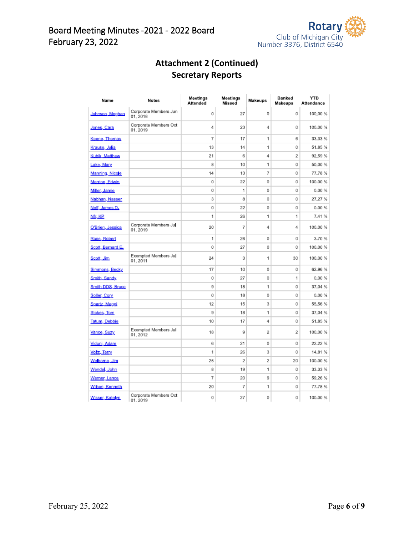

# **Attachment 2 (Continued) Secretary Reports**

| Name                  | <b>Notes</b>                      | Meetings<br>Attended | Meetings<br><b>Missed</b> | <b>Makeups</b> | Banked<br>Makeups | YTD<br><b>Attendance</b> |
|-----------------------|-----------------------------------|----------------------|---------------------------|----------------|-------------------|--------------------------|
| Johnson, Meghan       | Corporate Members Jun<br>01, 2018 | 0                    | 27                        | 0              | 0                 | 100,00 %                 |
| <u>Jones, Cara</u>    | Corporate Members Oct<br>01, 2019 | 4                    | 23                        | 4              | 0                 | 100,00 %                 |
| Keene, Thomas         |                                   | 7                    | 17                        | 1              | 6                 | 33,33 %                  |
| <u> Krause, Julia</u> |                                   | 13                   | 14                        | 1              | 0                 | 51.85%                   |
| Kubik, Matthew        |                                   | 21                   | 6                         | 4              | 2                 | 92,59%                   |
| Lake, Mary            |                                   | 8                    | 10                        | 1              | 0                 | 50,00 %                  |
| Manning, Nicole       |                                   | 14                   | 13                        | 7              | 0                 | 77.78%                   |
| Merrion, Edwin        |                                   | 0                    | 22                        | 0              | 0                 | 100.00 %                 |
| Miller, Jamie         |                                   | 0                    | 1                         | 0              | 0                 | 0.00%                    |
| Nabhan, Nasser        |                                   | 3                    | 8                         | 0              | 0                 | 27.27 %                  |
| Neff, James D.        |                                   | 0                    | 22                        | 0              | 0                 | 0.00%                    |
| Nfr. KP               |                                   | 1                    | 26                        | 1              | 1                 | 7.41%                    |
| O'Brien, Jessica      | Corporate Members Jul<br>01, 2019 | 20                   | 7                         | 4              | 4                 | 100.00 %                 |
| Rose, Robert          |                                   | 1                    | 26                        | 0              | 0                 | 3.70%                    |
| Scott, Bernard E.     |                                   | 0                    | 27                        | 0              | 0                 | 100,00 %                 |
| Scott, Jim            | Exempted Members Jul<br>01, 2011  | 24                   | 3                         | 1              | 30                | 100,00 %                 |
| Simmons, Becky        |                                   | 17                   | 10                        | 0              | 0                 | 62.96 %                  |
| Smith, Sandy          |                                   | 0                    | 27                        | 0              | 1                 | 0.00%                    |
| Smith DDS, Bruce      |                                   | 9                    | 18                        | 1              | 0                 | 37,04 %                  |
| Soller, Cory          |                                   | 0                    | 18                        | 0              | 0                 | 0.00%                    |
| Spartz, Maggi         |                                   | 12                   | 15                        | 3              | 0                 | 55,56 %                  |
| <b>Stokes</b> , Tom   |                                   | 9                    | 18                        | 1              | 0                 | 37,04 %                  |
| Tatum, Debbie         |                                   | 10                   | 17                        | 4              | 0                 | 51,85 %                  |
| Vance, Suzy           | Exempted Members Jul<br>01, 2012  | 18                   | 9                         | 2              | 2                 | 100,00 %                 |
| Vidoni, Adam          |                                   | 6                    | 21                        | 0              | 0                 | 22.22 %                  |
| Votz, Terry           |                                   | 1                    | 26                        | 3              | 0                 | 14,81%                   |
| Welborne, Jim         |                                   | 25                   | 2                         | $\overline{2}$ | 20                | 100.00 %                 |
| Wende, John           |                                   | 8                    | 19                        | 1              | 0                 | 33,33 %                  |
| Werner, Lance         |                                   | 7                    | 20                        | 9              | 0                 | 59,26 %                  |
| Wilson, Kenneth       |                                   | 20                   | 7                         | 1              | 0                 | 77.78%                   |
| Wisser, Katelyn       | Corporate Members Oct<br>01 2019  | 0                    | 27                        | 0              | 0                 | 100.00 %                 |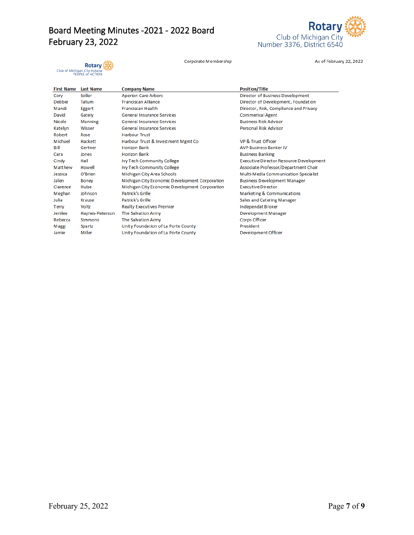# Board Meeting Minutes -2021 - 2022 Board February 23, 2022



Corporate Membership

As of February 22, 2022

**Rotary** : **KOLATY**<br>Club of Michigan City Indiana<br>PEOPLE of ACTION

| <b>First Name</b> | <b>Last Name</b> | <b>Company Name</b>                            | <b>Position/Title</b>                   |
|-------------------|------------------|------------------------------------------------|-----------------------------------------|
| Cory              | Soller           | <b>Aperion Care Arbors</b>                     | Director of Business Development        |
| Debbie            | Tatum            | <b>Franciscan Alliance</b>                     | Director of Development, Foundation     |
| Mandi             | Eggert           | <b>Franciscan Health</b>                       | Director, Risk, Compliance and Privacy  |
| David             | Gately           | <b>General Insurance Services</b>              | Commerical Agent                        |
| <b>Nicole</b>     | Manning          | <b>General Insurance Services</b>              | <b>Business Risk Advisor</b>            |
| Katelyn           | Wisser           | <b>General Insurance Services</b>              | Personal Risk Advisor                   |
| Robert            | Rose             | <b>Harbour Trust</b>                           |                                         |
| Michael           | Hackett          | Harbour Trust & Investment Mgmt Co             | VP & Trust Officer                      |
| Bill              | Gertner          | <b>Horizon Bank</b>                            | <b>AVP Business Banker IV</b>           |
| Cara              | Jones            | <b>Horizon Bank</b>                            | <b>Business Banking</b>                 |
| Cindy             | Hall             | Ivy Tech Community College                     | Executive Director Resource Development |
| Matthew           | Howell           | Ivy Tech Community College                     | Associate Professor/Department Chair    |
| Jessica           | O'Brien          | Michigan City Area Schools                     | Multi-Media Communication Specialist    |
| Jalen             | <b>Boney</b>     | Michigan City Economic Development Corporation | <b>Business Development Manager</b>     |
| Clarence          | Hulse            | Michigan City Economic Development Corporation | <b>Executive Director</b>               |
| Meghan            | Johnson          | Patrick's Grille                               | Marketing & Communications              |
| Julia             | Krause           | Patrick's Grille                               | Sales and Catering Manager              |
| Terry             | Voltz            | <b>Realty Executives Premier</b>               | Independat Broker                       |
| Jenilee           | Haynes-Peterson  | The Salvation Army                             | Development Manager                     |
| Rebecca           | <b>Simmons</b>   | The Salvation Army                             | Corps Officer                           |
| Maggi             | Spartz           | Unity Foundation of La Porte County            | President                               |
| Jamie             | Miller           | Unity Foundation of La Porte County            | Development Officer                     |
|                   |                  |                                                |                                         |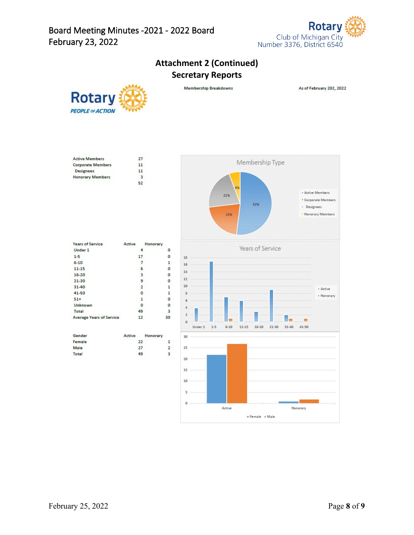

# **Attachment 2 (Continued) Secretary Reports**



Membership Breakdowns

As of February 202, 2022